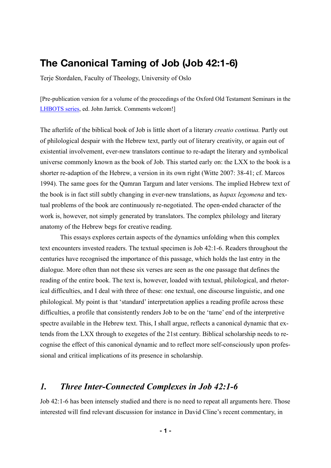# **The Canonical Taming of Job (Job 42:1-6)**

Terje Stordalen, Faculty of Theology, University of Oslo

[Pre-publication version for a volume of the proceedings of the Oxford Old Testament Seminars in the [LHBOTS series,](http://www.bloomsbury.com/uk/series/the-library-of-hebrew-bibleold-testament-studies/) ed. John Jarrick. Comments welcom!]

The afterlife of the biblical book of Job is little short of a literary *creatio continua.* Partly out of philological despair with the Hebrew text, partly out of literary creativity, or again out of existential involvement, ever-new translators continue to re-adapt the literary and symbolical universe commonly known as the book of Job. This started early on: the LXX to the book is a shorter re-adaption of the Hebrew, a version in its own right (Witte 2007: 38-41; cf. Marcos 1994). The same goes for the Qumran Targum and later versions. The implied Hebrew text of the book is in fact still subtly changing in ever-new translations, as *hapax legomena* and textual problems of the book are continuously re-negotiated. The open-ended character of the work is, however, not simply generated by translators. The complex philology and literary anatomy of the Hebrew begs for creative reading.

This essays explores certain aspects of the dynamics unfolding when this complex text encounters invested readers. The textual specimen is Job 42:1-6. Readers throughout the centuries have recognised the importance of this passage, which holds the last entry in the dialogue. More often than not these six verses are seen as the one passage that defines the reading of the entire book. The text is, however, loaded with textual, philological, and rhetorical difficulties, and I deal with three of these: one textual, one discourse linguistic, and one philological. My point is that 'standard' interpretation applies a reading profile across these difficulties, a profile that consistently renders Job to be on the 'tame' end of the interpretive spectre available in the Hebrew text. This, I shall argue, reflects a canonical dynamic that extends from the LXX through to exegetes of the 21st century. Biblical scholarship needs to recognise the effect of this canonical dynamic and to reflect more self-consciously upon professional and critical implications of its presence in scholarship.

## *1. Three Inter-Connected Complexes in Job 42:1-6*

Job 42:1-6 has been intensely studied and there is no need to repeat all arguments here. Those interested will find relevant discussion for instance in David Cline's recent commentary, in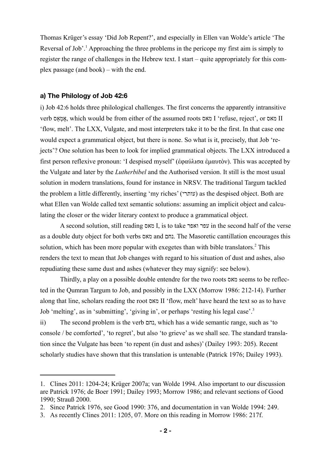Thomas Krüger's essay 'Did Job Repent?', and especially in Ellen van Wolde's article 'The Reversal of Job'.<sup>1</sup> Approaching the three problems in the pericope my first aim is simply to register the range of challenges in the Hebrew text. I start – quite appropriately for this complex passage (and book) – with the end.

## **a) The Philology of Job 42:6**

i) Job 42:6 holds three philological challenges. The first concerns the apparently intransitive verb אַס ְמ ֶא, which would be from either of the assumed roots מאס I 'refuse, reject', or מאס II 'flow, melt'. The LXX, Vulgate, and most interpreters take it to be the first. In that case one would expect a grammatical object, but there is none. So what is it, precisely, that Job 'rejects'? One solution has been to look for implied grammatical objects. The LXX introduced a first person reflexive pronoun: 'I despised myself' (ἐφαύλισα ἐµαυτὸν). This was accepted by the Vulgate and later by the *Lutherbibel* and the Authorised version. It still is the most usual solution in modern translations, found for instance in NRSV. The traditional Targum tackled the problem a little differently, inserting 'my riches' (עותרי) as the despised object. Both are what Ellen van Wolde called text semantic solutions: assuming an implicit object and calculating the closer or the wider literary context to produce a grammatical object.

A second solution, still reading מאס I, is to take ואפר עפר in the second half of the verse as a double duty object for both verbs מאס and נחם. The Masoretic cantillation encourages this solution, which has been more popular with exegetes than with bible translators.<sup>2</sup> This renders the text to mean that Job changes with regard to his situation of dust and ashes, also repudiating these same dust and ashes (whatever they may signify: see below).

Thirdly, a play on a possible double entendre for the two roots מאס seems to be reflected in the Qumran Targum to Job, and possibly in the LXX (Morrow 1986: 212-14). Further along that line, scholars reading the root מאס II 'flow, melt' have heard the text so as to have Job 'melting', as in 'submitting', 'giving in', or perhaps 'resting his legal case'.3

ii) The second problem is the verb נחם, which has a wide semantic range, such as 'to console / be comforted', 'to regret', but also 'to grieve' as we shall see. The standard translation since the Vulgate has been 'to repent (in dust and ashes)' (Dailey 1993: 205). Recent scholarly studies have shown that this translation is untenable (Patrick 1976; Dailey 1993).

<sup>1.</sup> Clines 2011: 1204-24; Krüger 2007a; van Wolde 1994. Also important to our discussion are Patrick 1976; de Boer 1991; Dailey 1993; Morrow 1986; and relevant sections of Good 1990; Strauß 2000.

<sup>2.</sup> Since Patrick 1976, see Good 1990: 376, and documentation in van Wolde 1994: 249.

<sup>3.</sup> As recently Clines 2011: 1205, 07. More on this reading in Morrow 1986: 217f.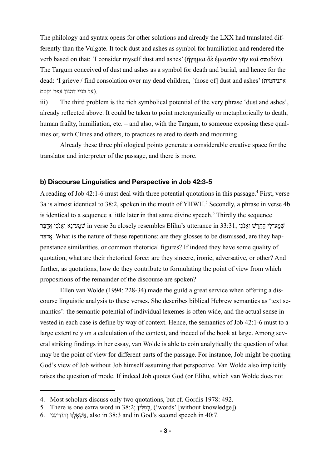The philology and syntax opens for other solutions and already the LXX had translated differently than the Vulgate. It took dust and ashes as symbol for humiliation and rendered the verb based on that: 'I consider myself dust and ashes' (ἥγηµαι δὲ ἐµαυτὸν γῆν καὶ σποδόν). The Targum conceived of dust and ashes as a symbol for death and burial, and hence for the dead: 'I grieve / find consolation over my dead children, [those of] dust and ashes' (אתניחמית .(על בניי דהנון עפר וקטם

iii) The third problem is the rich symbolical potential of the very phrase 'dust and ashes', already reflected above. It could be taken to point metonymically or metaphorically to death, human frailty, humiliation, etc. – and also, with the Targum, to someone exposing these qualities or, with Clines and others, to practices related to death and mourning.

Already these three philological points generate a considerable creative space for the translator and interpreter of the passage, and there is more.

## **b) Discourse Linguistics and Perspective in Job 42:3-5**

A reading of Job 42:1-6 must deal with three potential quotations in this passage.<sup>4</sup> First, verse 3a is almost identical to 38:2, spoken in the mouth of YHWH.<sup>5</sup> Secondly, a phrase in verse 4b is identical to a sequence a little later in that same divine speech.<sup>6</sup> Thirdly the sequence שׁמַע־לי החרש ואנכי in verse 3a closely resembles Elihu's utterance in 33:31, שמע־לי החרש ואנכי אַדַּבֵּר אֲדָּבֵּר. What is the nature of these repetitions: are they glosses to be dismissed, are they happenstance similarities, or common rhetorical figures? If indeed they have some quality of quotation, what are their rhetorical force: are they sincere, ironic, adversative, or other? And further, as quotations, how do they contribute to formulating the point of view from which propositions of the remainder of the discourse are spoken?

Ellen van Wolde (1994: 228-34) made the guild a great service when offering a discourse linguistic analysis to these verses. She describes biblical Hebrew semantics as 'text semantics': the semantic potential of individual lexemes is often wide, and the actual sense invested in each case is define by way of context. Hence, the semantics of Job 42:1-6 must to a large extent rely on a calculation of the context, and indeed of the book at large. Among several striking findings in her essay, van Wolde is able to coin analytically the question of what may be the point of view for different parts of the passage. For instance, Job might be quoting God's view of Job without Job himself assuming that perspective. Van Wolde also implicitly raises the question of mode. If indeed Job quotes God (or Elihu, which van Wolde does not

<sup>4.</sup> Most scholars discuss only two quotations, but cf. Gordis 1978: 492.

<sup>5.</sup> There is one extra word in 38:2; ין ִלּ ִמ ְב,') words' [without knowledge]).

<sup>6.</sup>  $\frac{1}{2}$ הוֹדִיעֲנִי second speech in 40:7.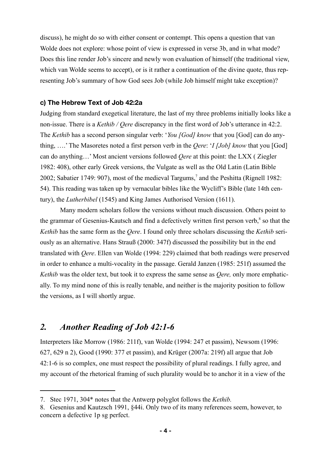discuss), he might do so with either consent or contempt. This opens a question that van Wolde does not explore: whose point of view is expressed in verse 3b, and in what mode? Does this line render Job's sincere and newly won evaluation of himself (the traditional view, which van Wolde seems to accept), or is it rather a continuation of the divine quote, thus representing Job's summary of how God sees Job (while Job himself might take exception)?

## **c) The Hebrew Text of Job 42:2a**

Judging from standard exegetical literature, the last of my three problems initially looks like a non-issue. There is a *Kethib / Qere* discrepancy in the first word of Job's utterance in 42:2. The *Kethib* has a second person singular verb: '*You [God] know* that you [God] can do anything, ….' The Masoretes noted a first person verb in the *Qere*: '*I [Job] know* that you [God] can do anything…' Most ancient versions followed *Qere* at this point: the LXX ( Ziegler 1982: 408), other early Greek versions, the Vulgate as well as the Old Latin (Latin Bible 2002; Sabatier 1749: 907), most of the medieval Targums,<sup>7</sup> and the Peshitta (Rignell 1982: 54). This reading was taken up by vernacular bibles like the Wycliff's Bible (late 14th century), the *Lutherbibel* (1545) and King James Authorised Version (1611).

Many modern scholars follow the versions without much discussion. Others point to the grammar of Gesenius-Kautsch and find a defectively written first person verb,<sup>8</sup> so that the *Kethib* has the same form as the *Qere*. I found only three scholars discussing the *Kethib* seriously as an alternative. Hans Strauß (2000: 347f) discussed the possibility but in the end translated with *Qere*. Ellen van Wolde (1994: 229) claimed that both readings were preserved in order to enhance a multi-vocality in the passage. Gerald Janzen (1985: 251f) assumed the *Kethib* was the older text, but took it to express the same sense as *Qere,* only more emphatically. To my mind none of this is really tenable, and neither is the majority position to follow the versions, as I will shortly argue.

## *2. Another Reading of Job 42:1-6*

Interpreters like Morrow (1986: 211f), van Wolde (1994: 247 et passim), Newsom (1996: 627, 629 n 2), Good (1990: 377 et passim), and Krüger (2007a: 219f) all argue that Job 42:1-6 is so complex, one must respect the possibility of plural readings. I fully agree, and my account of the rhetorical framing of such plurality would be to anchor it in a view of the

<sup>7.</sup> Stec 1971, 304\* notes that the Antwerp polyglot follows the *Kethib.*

<sup>8.</sup> Gesenius and Kautzsch 1991, §44i. Only two of its many references seem, however, to concern a defective 1p sg perfect.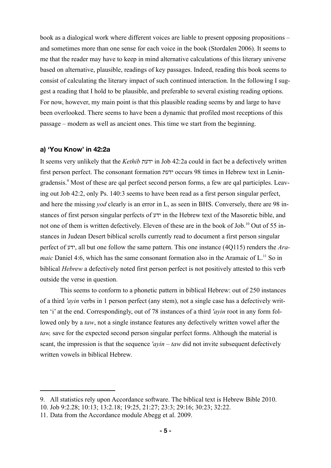book as a dialogical work where different voices are liable to present opposing propositions – and sometimes more than one sense for each voice in the book (Stordalen 2006). It seems to me that the reader may have to keep in mind alternative calculations of this literary universe based on alternative, plausible, readings of key passages. Indeed, reading this book seems to consist of calculating the literary impact of such continued interaction. In the following I suggest a reading that I hold to be plausible, and preferable to several existing reading options. For now, however, my main point is that this plausible reading seems by and large to have been overlooked. There seems to have been a dynamic that profiled most receptions of this passage – modern as well as ancient ones. This time we start from the beginning.

## **a) 'You Know' in 42:2a**

It seems very unlikely that the *Kethib* ידעת in Job 42:2a could in fact be a defectively written first person perfect. The consonant formation ידעת occurs 98 times in Hebrew text in Leningradensis.<sup>9</sup> Most of these are qal perfect second person forms, a few are qal participles. Leaving out Job 42:2, only Ps. 140:3 seems to have been read as a first person singular perfect, and here the missing *yod* clearly is an error in L, as seen in BHS. Conversely, there are 98 instances of first person singular perfects of ידע in the Hebrew text of the Masoretic bible, and not one of them is written defectively. Eleven of these are in the book of Job.<sup>10</sup> Out of 55 instances in Judean Desert biblical scrolls currently read to document a first person singular perfect of ידע, all but one follow the same pattern. This one instance (4Q115) renders the *Aramaic* Daniel 4:6, which has the same consonant formation also in the Aramaic of L.<sup>11</sup> So in biblical *Hebrew* a defectively noted first person perfect is not positively attested to this verb outside the verse in question.

This seems to conform to a phonetic pattern in biblical Hebrew: out of 250 instances of a third *'ayin* verbs in 1 person perfect (any stem), not a single case has a defectively written 'i' at the end. Correspondingly, out of 78 instances of a third *'ayin* root in any form followed only by a *taw*, not a single instance features any defectively written vowel after the *taw,* save for the expected second person singular perfect forms. Although the material is scant, the impression is that the sequence *'ayin – taw* did not invite subsequent defectively written vowels in biblical Hebrew.

<sup>9.</sup> All statistics rely upon Accordance software. The biblical text is Hebrew Bible 2010.

<sup>10.</sup> Job 9:2.28; 10:13; 13:2.18; 19:25, 21:27; 23:3; 29:16; 30:23; 32:22.

<sup>11.</sup> Data from the Accordance module Abegg et al. 2009.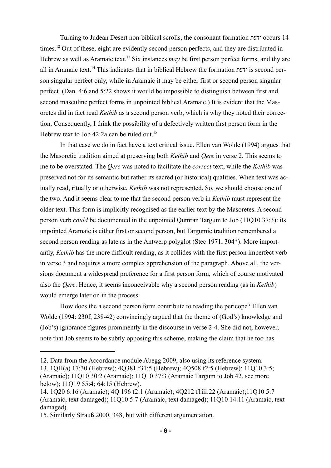Turning to Judean Desert non-biblical scrolls, the consonant formation ידעת occurs 14 times.<sup>12</sup> Out of these, eight are evidently second person perfects, and they are distributed in Hebrew as well as Aramaic text.<sup>13</sup> Six instances *may* be first person perfect forms, and thy are all in Aramaic text.14 This indicates that in biblical Hebrew the formation ידעת is second person singular perfect only, while in Aramaic it may be either first or second person singular perfect. (Dan. 4:6 and 5:22 shows it would be impossible to distinguish between first and second masculine perfect forms in unpointed biblical Aramaic.) It is evident that the Masoretes did in fact read *Kethib* as a second person verb, which is why they noted their correction. Consequently, I think the possibility of a defectively written first person form in the Hebrew text to Job 42:2a can be ruled out.<sup>15</sup>

In that case we do in fact have a text critical issue. Ellen van Wolde (1994) argues that the Masoretic tradition aimed at preserving both *Kethib* and *Qere* in verse 2. This seems to me to be overstated. The *Qere* was noted to facilitate the *correct* text, while the *Kethib* was preserved not for its semantic but rather its sacred (or historical) qualities. When text was actually read, ritually or otherwise, *Kethib* was not represented. So, we should choose one of the two. And it seems clear to me that the second person verb in *Kethib* must represent the older text. This form is implicitly recognised as the earlier text by the Masoretes. A second person verb *could* be documented in the unpointed Qumran Targum to Job (11Q10 37:3): its unpointed Aramaic is either first or second person, but Targumic tradition remembered a second person reading as late as in the Antwerp polyglot (Stec 1971, 304\*). More importantly, *Kethib* has the more difficult reading, as it collides with the first person imperfect verb in verse 3 and requires a more complex apprehension of the paragraph. Above all, the versions document a widespread preference for a first person form, which of course motivated also the *Qere*. Hence, it seems inconceivable why a second person reading (as in *Kethib*) would emerge later on in the process.

How does the a second person form contribute to reading the pericope? Ellen van Wolde (1994: 230f, 238-42) convincingly argued that the theme of (God's) knowledge and (Job's) ignorance figures prominently in the discourse in verse 2-4. She did not, however, note that Job seems to be subtly opposing this scheme, making the claim that he too has

<sup>12.</sup> Data from the Accordance module Abegg 2009, also using its reference system.

<sup>13.</sup> 1QH(a) 17:30 (Hebrew); 4Q381 f31:5 (Hebrew); 4Q508 f2:5 (Hebrew); 11Q10 3:5; (Aramaic); 11Q10 30:2 (Aramaic); 11Q10 37:3 (Aramaic Targum to Job 42, see more below); 11Q19 55:4; 64:15 (Hebrew).

<sup>14.</sup> 1Q20 6:16 (Aramaic); 4Q 196 f2:1 (Aramaic); 4Q212 f1iii:22 (Aramaic);11Q10 5:7 (Aramaic, text damaged); 11Q10 5:7 (Aramaic, text damaged); 11Q10 14:11 (Aramaic, text damaged).

<sup>15.</sup> Similarly Strauß 2000, 348, but with different argumentation.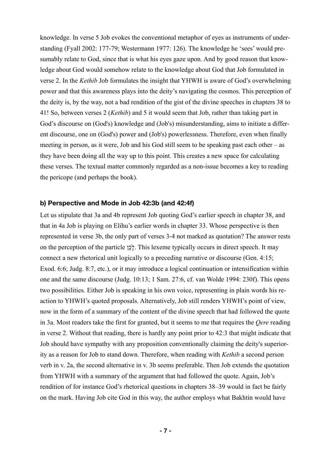knowledge. In verse 5 Job evokes the conventional metaphor of eyes as instruments of understanding (Fyall 2002: 177-79; Westermann 1977: 126). The knowledge he 'sees' would presumably relate to God, since that is what his eyes gaze upon. And by good reason that knowledge about God would somehow relate to the knowledge about God that Job formulated in verse 2. In the *Kethib* Job formulates the insight that YHWH is aware of God's overwhelming power and that this awareness plays into the deity's navigating the cosmos. This perception of the deity is, by the way, not a bad rendition of the gist of the divine speeches in chapters 38 to 41! So, between verses 2 (*Kethib*) and 5 it would seem that Job, rather than taking part in God's discourse on (God's) knowledge and (Job's) misunderstanding, aims to initiate a different discourse, one on (God's) power and (Job's) powerlessness. Therefore, even when finally meeting in person, as it were, Job and his God still seem to be speaking past each other – as they have been doing all the way up to this point. This creates a new space for calculating these verses. The textual matter commonly regarded as a non-issue becomes a key to reading the pericope (and perhaps the book).

#### **b) Perspective and Mode in Job 42:3b (and 42:4f)**

Let us stipulate that 3a and 4b represent Job quoting God's earlier speech in chapter 38, and that in 4a Job is playing on Elihu's earlier words in chapter 33. Whose perspective is then represented in verse 3b, the only part of verses 3-4 not marked as quotation? The answer rests on the perception of the particle ןֵכָל. This lexeme typically occurs in direct speech. It may connect a new rhetorical unit logically to a preceding narrative or discourse (Gen. 4:15; Exod. 6:6; Judg. 8:7, etc.), or it may introduce a logical continuation or intensification within one and the same discourse (Judg. 10:13; 1 Sam. 27:6, cf. van Wolde 1994: 230f). This opens two possibilities. Either Job is speaking in his own voice, representing in plain words his reaction to YHWH's quoted proposals. Alternatively, Job still renders YHWH's point of view, now in the form of a summary of the content of the divine speech that had followed the quote in 3a. Most readers take the first for granted, but it seems to me that requires the *Qere* reading in verse 2. Without that reading, there is hardly any point prior to 42:3 that might indicate that Job should have sympathy with any proposition conventionally claiming the deity's superiority as a reason for Job to stand down. Therefore, when reading with *Kethib* a second person verb in v. 2a, the second alternative in v. 3b seems preferable. Then Job extends the quotation from YHWH with a summary of the argument that had followed the quote. Again, Job's rendition of for instance God's rhetorical questions in chapters 38–39 would in fact be fairly on the mark. Having Job cite God in this way, the author employs what Bakhtin would have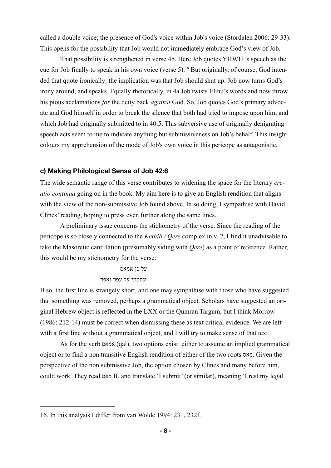called a double voice; the presence of God's voice within Job's voice (Stordalen 2006: 29-33). This opens for the possibility that Job would not immediately embrace God's view of Job.

That possibility is strengthened in verse 4b. Here Job quotes YHWH 's speech as the cue for Job finally to speak in his own voice (verse 5).<sup>16</sup> But originally, of course, God intended that quote ironically: the implication was that Job should shut up. Job now turns God's irony around, and speaks. Equally rhetorically, in 4a Job twists Elihu's words and now throw his pious acclamations *for* the deity back *against* God. So, Job quotes God's primary advocate and God himself in order to break the silence that both had tried to impose upon him, and which Job had originally submitted to in 40:5. This subversive use of originally denigrating speech acts seem to me to indicate anything but submissiveness on Job's behalf. This insight colours my apprehension of the mode of Job's own voice in this pericope as antagonistic.

#### **c) Making Philological Sense of Job 42:6**

The wide semantic range of this verse contributes to widening the space for the literary *creatio continua* going on in the book. My aim here is to give an English rendition that aligns with the view of the non-submissive Job found above. In so doing, I sympathise with David Clines' reading, hoping to press even further along the same lines.

A preliminary issue concerns the stichometry of the verse. Since the reading of the pericope is so closely connected to the *Kethib / Qere* complex in v. 2, I find it unadvisable to take the Masoretic cantillation (presumably siding with *Qere*) as a point of reference. Rather, this would be my stichometry for the verse:

## על כן אמאס ונחמתי על עפר ואפר

If so, the first line is strangely short, and one may sympathise with those who have suggested that something was removed, perhaps a grammatical object. Scholars have suggested an original Hebrew object is reflected in the LXX or the Qumran Targum, but I think Morrow (1986: 212-14) must be correct when dismissing these as text critical evidence. We are left with a first line without a grammatical object, and I will try to make sense of that text.

As for the verb אמאס) qal), two options exist: either to assume an implied grammatical object or to find a non transitive English rendition of either of the two roots מאס. Given the perspective of the non submissive Job, the option chosen by Clines and many before him, could work. They read מאס II, and translate 'I submit' (or similar), meaning 'I rest my legal

<sup>16.</sup> In this analysis I differ from van Wolde 1994: 231, 232f.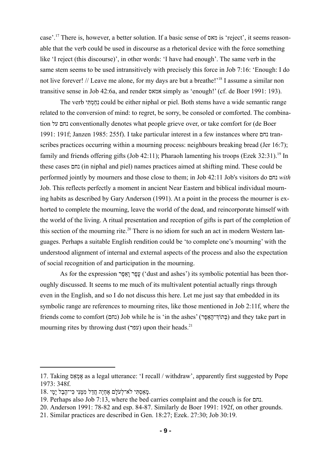case'.17 There is, however, a better solution. If a basic sense of מאס is 'reject', it seems reasonable that the verb could be used in discourse as a rhetorical device with the force something like 'I reject (this discourse)', in other words: 'I have had enough'. The same verb in the same stem seems to be used intransitively with precisely this force in Job 7:16: 'Enough: I do not live forever! // Leave me alone, for my days are but a breathe!'<sup>18</sup> I assume a similar non transitive sense in Job 42:6a, and render אמאס simply as 'enough!' (cf. de Boer 1991: 193).

The verb יהַמְתִּי could be either niphal or piel. Both stems have a wide semantic range related to the conversion of mind: to regret, be sorry, be consoled or comforted. The combination על נחם conventionally denotes what people grieve over, or take comfort for (de Boer 1991: 191f; Janzen 1985: 255f). I take particular interest in a few instances where נחם transcribes practices occurring within a mourning process: neighbours breaking bread (Jer 16:7); family and friends offering gifts (Job 42:11); Pharaoh lamenting his troops (Ezek 32:31).<sup>19</sup> In these cases נחם) in niphal and piel) names practices aimed at shifting mind. These could be performed jointly by mourners and those close to them; in Job 42:11 Job's visitors do נחם *with* Job. This reflects perfectly a moment in ancient Near Eastern and biblical individual mourning habits as described by Gary Anderson (1991). At a point in the process the mourner is exhorted to complete the mourning, leave the world of the dead, and reincorporate himself with the world of the living. A ritual presentation and reception of gifts is part of the completion of this section of the mourning rite.<sup>20</sup> There is no idiom for such an act in modern Western languages. Perhaps a suitable English rendition could be 'to complete one's mourning' with the understood alignment of internal and external aspects of the process and also the expectation of social recognition of and participation in the mourning.

As for the expression עפר ואפָּר ('dust and ashes') its symbolic potential has been thoroughly discussed. It seems to me much of its multivalent potential actually rings through even in the English, and so I do not discuss this here. Let me just say that embedded in its symbolic range are references to mourning rites, like those mentioned in Job 2:11f, where the friends come to comfort (נחם) Job while he is 'in the ashes' (בְּתוֹךְ־הָאֵפֶר) and they take part in mourning rites by throwing dust (עפר) upon their heads.<sup>21</sup>

<sup>17.</sup> Taking אַס ְמ ֶא as a legal utterance: 'I recall / withdraw', apparently first suggested by Pope 1973: 348f.

מַ מָּאָסְתִּי לֹא־לְעֹלַם אֶחָיֵה חֲדַל מְמֵּנִּי כִּי־הֶבֶל יָמֵי.

<sup>19.</sup> Perhaps also Job 7:13, where the bed carries complaint and the couch is for נחם.

<sup>20.</sup> Anderson 1991: 78-82 and esp. 84-87. Similarly de Boer 1991: 192f, on other grounds.

<sup>21.</sup> Similar practices are described in Gen. 18:27; Ezek. 27:30; Job 30:19.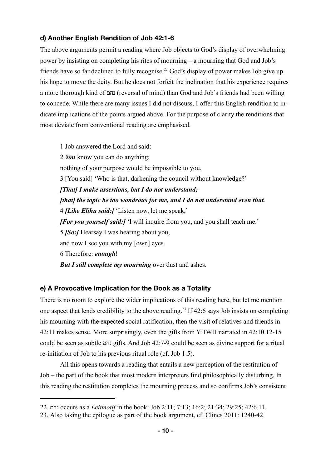## **d) Another English Rendition of Job 42:1-6**

The above arguments permit a reading where Job objects to God's display of overwhelming power by insisting on completing his rites of mourning – a mourning that God and Job's friends have so far declined to fully recognise.<sup>22</sup> God's display of power makes Job give up his hope to move the deity. But he does not forfeit the inclination that his experience requires a more thorough kind of נחם) reversal of mind) than God and Job's friends had been willing to concede. While there are many issues I did not discuss, I offer this English rendition to indicate implications of the points argued above. For the purpose of clarity the renditions that most deviate from conventional reading are emphasised.

1 Job answered the Lord and said: 2 *You* know you can do anything; nothing of your purpose would be impossible to you. 3 [You said] 'Who is that, darkening the council without knowledge?' *[That] I make assertions, but I do not understand; [that] the topic be too wondrous for me, and I do not understand even that.*  4 *[Like Elihu said:]* 'Listen now, let me speak,' *[For you yourself said:]* 'I will inquire from you, and you shall teach me.' 5 *[So:]* Hearsay I was hearing about you, and now I see you with my [own] eyes. 6 Therefore: *enough*! *But I still complete my mourning* over dust and ashes.

## **e) A Provocative Implication for the Book as a Totality**

There is no room to explore the wider implications of this reading here, but let me mention one aspect that lends credibility to the above reading.<sup>23</sup> If 42:6 says Job insists on completing his mourning with the expected social ratification, then the visit of relatives and friends in 42:11 makes sense. More surprisingly, even the gifts from YHWH narrated in 42:10.12-15 could be seen as subtle נחם gifts. And Job 42:7-9 could be seen as divine support for a ritual re-initiation of Job to his previous ritual role (cf. Job 1:5).

All this opens towards a reading that entails a new perception of the restitution of Job – the part of the book that most modern interpreters find philosophically disturbing. In this reading the restitution completes the mourning process and so confirms Job's consistent

<sup>22.</sup> נחם occurs as a *Leitmotif* in the book: Job 2:11; 7:13; 16:2; 21:34; 29:25; 42:6.11.

<sup>23.</sup> Also taking the epilogue as part of the book argument, cf. Clines 2011: 1240-42.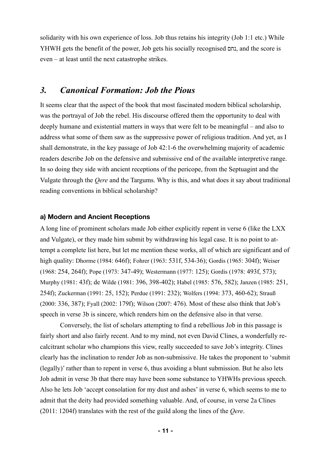solidarity with his own experience of loss. Job thus retains his integrity (Job 1:1 etc.) While YHWH gets the benefit of the power, Job gets his socially recognised נחם, and the score is even – at least until the next catastrophe strikes.

## *3. Canonical Formation: Job the Pious*

It seems clear that the aspect of the book that most fascinated modern biblical scholarship, was the portrayal of Job the rebel. His discourse offered them the opportunity to deal with deeply humane and existential matters in ways that were felt to be meaningful – and also to address what some of them saw as the suppressive power of religious tradition. And yet, as I shall demonstrate, in the key passage of Job 42:1-6 the overwhelming majority of academic readers describe Job on the defensive and submissive end of the available interpretive range. In so doing they side with ancient receptions of the pericope, from the Septuagint and the Vulgate through the *Qere* and the Targums. Why is this, and what does it say about traditional reading conventions in biblical scholarship?

## **a) Modern and Ancient Receptions**

A long line of prominent scholars made Job either explicitly repent in verse 6 (like the LXX and Vulgate), or they made him submit by withdrawing his legal case. It is no point to attempt a complete list here, but let me mention these works, all of which are significant and of high quality: Dhorme (1984: 646f); Fohrer (1963: 531f, 534-36); Gordis (1965: 304f); Weiser (1968: 254, 264f); Pope (1973: 347-49); Westermann (1977: 125); Gordis (1978: 493f, 573); Murphy (1981: 43f); de Wilde (1981: 396, 398-402); Habel (1985: 576, 582); Janzen (1985: 251, 254f); Zuckerman (1991: 25, 152); Perdue (1991: 232); Wolfers (1994: 373, 460-62); Strauß (2000: 336, 387); Fyall (2002: 179f); Wilson (2007: 476). Most of these also think that Job's speech in verse 3b is sincere, which renders him on the defensive also in that verse.

Conversely, the list of scholars attempting to find a rebellious Job in this passage is fairly short and also fairly recent. And to my mind, not even David Clines, a wonderfully recalcitrant scholar who champions this view, really succeeded to save Job's integrity. Clines clearly has the inclination to render Job as non-submissive. He takes the proponent to 'submit (legally)' rather than to repent in verse 6, thus avoiding a blunt submission. But he also lets Job admit in verse 3b that there may have been some substance to YHWHs previous speech. Also he lets Job 'accept consolation for my dust and ashes' in verse 6, which seems to me to admit that the deity had provided something valuable. And, of course, in verse 2a Clines (2011: 1204f) translates with the rest of the guild along the lines of the *Qere*.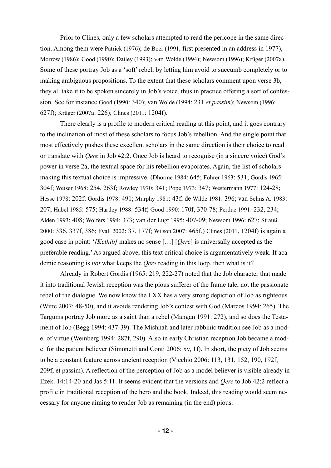Prior to Clines, only a few scholars attempted to read the pericope in the same direction. Among them were Patrick (1976); de Boer (1991, first presented in an address in 1977), Morrow (1986); Good (1990); Dailey (1993); van Wolde (1994); Newsom (1996); Krüger (2007a). Some of these portray Job as a 'soft' rebel, by letting him avoid to succumb completely or to making ambiguous propositions. To the extent that these scholars comment upon verse 3b, they all take it to be spoken sincerely in Job's voice, thus in practice offering a sort of confession. See for instance Good (1990: 340); van Wolde (1994: 231 *et passim*); Newsom (1996: 627f); Krüger (2007a: 226); Clines (2011: 1204f).

There clearly is a profile to modern critical reading at this point, and it goes contrary to the inclination of most of these scholars to focus Job's rebellion. And the single point that most effectively pushes these excellent scholars in the same direction is their choice to read or translate with *Qere* in Job 42:2. Once Job is heard to recognise (in a sincere voice) God's power in verse 2a, the textual space for his rebellion evaporates. Again, the list of scholars making this textual choice is impressive. (Dhorme 1984: 645; Fohrer 1963: 531; Gordis 1965: 304f; Weiser 1968: 254, 263f; Rowley 1970: 341; Pope 1973: 347; Westermann 1977: 124-28; Hesse 1978: 202f; Gordis 1978: 491; Murphy 1981: 43f; de Wilde 1981: 396; van Selms A. 1983: 207; Habel 1985: 575; Hartley 1988: 534f; Good 1990: 170f, 370-78; Perdue 1991: 232, 234; Alden 1993: 408; Wolfers 1994: 373; van der Lugt 1995: 407-09; Newsom 1996: 627; Strauß 2000: 336, 337f, 386; Fyall 2002: 37, 177f; Wilson 2007: 465f.) Clines (2011, 1204f) is again a good case in point: '*[Kethib]* makes no sense […] [*Qere*] is universally accepted as the preferable reading.' As argued above, this text critical choice is argumentatively weak. If academic reasoning is *not* what keeps the *Qere* reading in this loop, then what is it?

Already in Robert Gordis (1965: 219, 222-27) noted that the Job character that made it into traditional Jewish reception was the pious sufferer of the frame tale, not the passionate rebel of the dialogue. We now know the LXX has a very strong depiction of Job as righteous (Witte 2007: 48-50), and it avoids rendering Job's contest with God (Marcos 1994: 265). The Targums portray Job more as a saint than a rebel (Mangan 1991: 272), and so does the Testament of Job (Begg 1994: 437-39). The Mishnah and later rabbinic tradition see Job as a model of virtue (Weinberg 1994: 287f, 290). Also in early Christian reception Job became a model for the patient believer (Simonetti and Conti 2006: xv, 1f). In short, the piety of Job seems to be a constant feature across ancient reception (Vicchio 2006: 113, 131, 152, 190, 192f, 209f, et passim). A reflection of the perception of Job as a model believer is visible already in Ezek. 14:14-20 and Jas 5:11. It seems evident that the versions and *Qere* to Job 42:2 reflect a profile in traditional reception of the hero and the book. Indeed, this reading would seem necessary for anyone aiming to render Job as remaining (in the end) pious.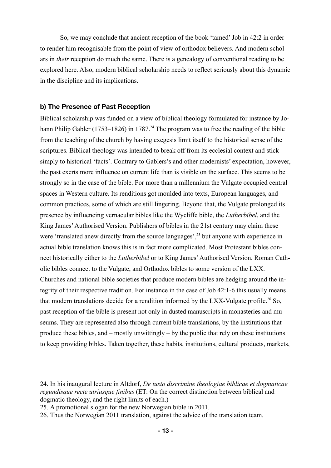So, we may conclude that ancient reception of the book 'tamed' Job in 42:2 in order to render him recognisable from the point of view of orthodox believers. And modern scholars in *their* reception do much the same. There is a genealogy of conventional reading to be explored here. Also, modern biblical scholarship needs to reflect seriously about this dynamic in the discipline and its implications.

## **b) The Presence of Past Reception**

Biblical scholarship was funded on a view of biblical theology formulated for instance by Johann Philip Gabler (1753–1826) in 1787.<sup>24</sup> The program was to free the reading of the bible from the teaching of the church by having exegesis limit itself to the historical sense of the scriptures. Biblical theology was intended to break off from its ecclesial context and stick simply to historical 'facts'. Contrary to Gablers's and other modernists' expectation, however, the past exerts more influence on current life than is visible on the surface. This seems to be strongly so in the case of the bible. For more than a millennium the Vulgate occupied central spaces in Western culture. Its renditions got moulded into texts, European languages, and common practices, some of which are still lingering. Beyond that, the Vulgate prolonged its presence by influencing vernacular bibles like the Wycliffe bible, the *Lutherbibel*, and the King James' Authorised Version. Publishers of bibles in the 21st century may claim these were 'translated anew directly from the source languages',<sup>25</sup> but anyone with experience in actual bible translation knows this is in fact more complicated. Most Protestant bibles connect historically either to the *Lutherbibel* or to King James' Authorised Version. Roman Catholic bibles connect to the Vulgate, and Orthodox bibles to some version of the LXX. Churches and national bible societies that produce modern bibles are hedging around the integrity of their respective tradition. For instance in the case of Job 42:1-6 this usually means that modern translations decide for a rendition informed by the LXX-Vulgate profile.<sup>26</sup> So, past reception of the bible is present not only in dusted manuscripts in monasteries and museums. They are represented also through current bible translations, by the institutions that produce these bibles, and – mostly unwittingly – by the public that rely on these institutions to keep providing bibles. Taken together, these habits, institutions, cultural products, markets,

<sup>24.</sup> In his inaugural lecture in Altdorf, *De iusto discrimine theologiae biblicae et dogmaticae regundisque recte utriusque finibus* (ET: On the correct distinction between biblical and dogmatic theology, and the right limits of each.)

<sup>25.</sup> A promotional slogan for the new Norwegian bible in 2011.

<sup>26.</sup> Thus the Norwegian 2011 translation, against the advice of the translation team.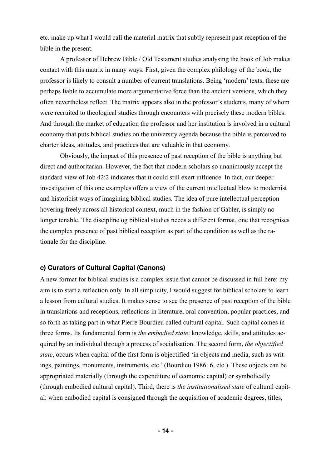etc. make up what I would call the material matrix that subtly represent past reception of the bible in the present.

A professor of Hebrew Bible / Old Testament studies analysing the book of Job makes contact with this matrix in many ways. First, given the complex philology of the book, the professor is likely to consult a number of current translations. Being 'modern' texts, these are perhaps liable to accumulate more argumentative force than the ancient versions, which they often nevertheless reflect. The matrix appears also in the professor's students, many of whom were recruited to theological studies through encounters with precisely these modern bibles. And through the market of education the professor and her institution is involved in a cultural economy that puts biblical studies on the university agenda because the bible is perceived to charter ideas, attitudes, and practices that are valuable in that economy.

Obviously, the impact of this presence of past reception of the bible is anything but direct and authoritarian. However, the fact that modern scholars so unanimously accept the standard view of Job 42:2 indicates that it could still exert influence. In fact, our deeper investigation of this one examples offers a view of the current intellectual blow to modernist and historicist ways of imagining biblical studies. The idea of pure intellectual perception hovering freely across all historical context, much in the fashion of Gabler, is simply no longer tenable. The discipline og biblical studies needs a different format, one that recognises the complex presence of past biblical reception as part of the condition as well as the rationale for the discipline.

## **c) Curators of Cultural Capital (Canons)**

A new format for biblical studies is a complex issue that cannot be discussed in full here: my aim is to start a reflection only. In all simplicity, I would suggest for biblical scholars to learn a lesson from cultural studies. It makes sense to see the presence of past reception of the bible in translations and receptions, reflections in literature, oral convention, popular practices, and so forth as taking part in what Pierre Bourdieu called cultural capital. Such capital comes in three forms. Its fundamental form is *the embodied state*: knowledge, skills, and attitudes acquired by an individual through a process of socialisation. The second form, *the objectified state*, occurs when capital of the first form is objectified 'in objects and media, such as writings, paintings, monuments, instruments, etc.' (Bourdieu 1986: 6, etc.). These objects can be appropriated materially (through the expenditure of economic capital) or symbolically (through embodied cultural capital). Third, there is *the institutionalised state* of cultural capital: when embodied capital is consigned through the acquisition of academic degrees, titles,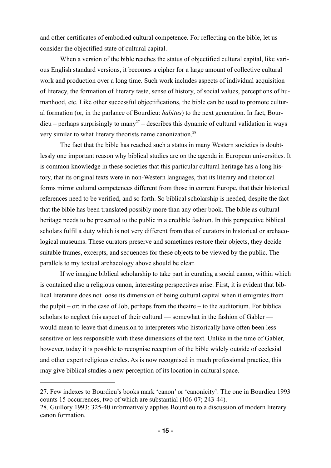and other certificates of embodied cultural competence. For reflecting on the bible, let us consider the objectified state of cultural capital.

When a version of the bible reaches the status of objectified cultural capital, like various English standard versions, it becomes a cipher for a large amount of collective cultural work and production over a long time. Such work includes aspects of individual acquisition of literacy, the formation of literary taste, sense of history, of social values, perceptions of humanhood, etc. Like other successful objectifications, the bible can be used to promote cultural formation (or, in the parlance of Bourdieu: *habitus*) to the next generation. In fact, Bour $dieu – perhaps surprisingly to many<sup>27</sup> – describes this dynamic of cultural validation in ways$ very similar to what literary theorists name canonization.<sup>28</sup>

The fact that the bible has reached such a status in many Western societies is doubtlessly one important reason why biblical studies are on the agenda in European universities. It is common knowledge in these societies that this particular cultural heritage has a long history, that its original texts were in non-Western languages, that its literary and rhetorical forms mirror cultural competences different from those in current Europe, that their historical references need to be verified, and so forth. So biblical scholarship is needed, despite the fact that the bible has been translated possibly more than any other book. The bible as cultural heritage needs to be presented to the public in a credible fashion. In this perspective biblical scholars fulfil a duty which is not very different from that of curators in historical or archaeological museums. These curators preserve and sometimes restore their objects, they decide suitable frames, excerpts, and sequences for these objects to be viewed by the public. The parallels to my textual archaeology above should be clear.

If we imagine biblical scholarship to take part in curating a social canon, within which is contained also a religious canon, interesting perspectives arise. First, it is evident that biblical literature does not loose its dimension of being cultural capital when it emigrates from the pulpit – or: in the case of Job, perhaps from the theatre – to the auditorium. For biblical scholars to neglect this aspect of their cultural — somewhat in the fashion of Gabler would mean to leave that dimension to interpreters who historically have often been less sensitive or less responsible with these dimensions of the text. Unlike in the time of Gabler, however, today it is possible to recognise reception of the bible widely outside of ecclesial and other expert religious circles. As is now recognised in much professional practice, this may give biblical studies a new perception of its location in cultural space.

<sup>27.</sup> Few indexes to Bourdieu's books mark 'canon' or 'canonicity'. The one in Bourdieu 1993 counts 15 occurrences, two of which are substantial (106-07; 243-44). 28. Guillory 1993: 325-40 informatively applies Bourdieu to a discussion of modern literary canon formation.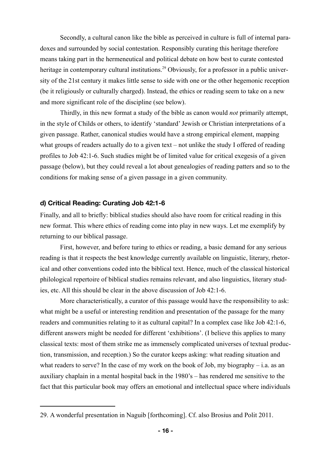Secondly, a cultural canon like the bible as perceived in culture is full of internal paradoxes and surrounded by social contestation. Responsibly curating this heritage therefore means taking part in the hermeneutical and political debate on how best to curate contested heritage in contemporary cultural institutions.<sup>29</sup> Obviously, for a professor in a public university of the 21st century it makes little sense to side with one or the other hegemonic reception (be it religiously or culturally charged). Instead, the ethics or reading seem to take on a new and more significant role of the discipline (see below).

Thirdly, in this new format a study of the bible as canon would *not* primarily attempt, in the style of Childs or others, to identify 'standard' Jewish or Christian interpretations of a given passage. Rather, canonical studies would have a strong empirical element, mapping what groups of readers actually do to a given text – not unlike the study I offered of reading profiles to Job 42:1-6. Such studies might be of limited value for critical exegesis of a given passage (below), but they could reveal a lot about genealogies of reading patters and so to the conditions for making sense of a given passage in a given community.

### **d) Critical Reading: Curating Job 42:1-6**

Finally, and all to briefly: biblical studies should also have room for critical reading in this new format. This where ethics of reading come into play in new ways. Let me exemplify by returning to our biblical passage.

First, however, and before turing to ethics or reading, a basic demand for any serious reading is that it respects the best knowledge currently available on linguistic, literary, rhetorical and other conventions coded into the biblical text. Hence, much of the classical historical philological repertoire of biblical studies remains relevant, and also linguistics, literary studies, etc. All this should be clear in the above discussion of Job 42:1-6.

More characteristically, a curator of this passage would have the responsibility to ask: what might be a useful or interesting rendition and presentation of the passage for the many readers and communities relating to it as cultural capital? In a complex case like Job 42:1-6, different answers might be needed for different 'exhibitions'. (I believe this applies to many classical texts: most of them strike me as immensely complicated universes of textual production, transmission, and reception.) So the curator keeps asking: what reading situation and what readers to serve? In the case of my work on the book of Job, my biography – i.a. as an auxiliary chaplain in a mental hospital back in the 1980's – has rendered me sensitive to the fact that this particular book may offers an emotional and intellectual space where individuals

<sup>29.</sup> A wonderful presentation in Naguib [forthcoming]. Cf. also Brosius and Polit 2011.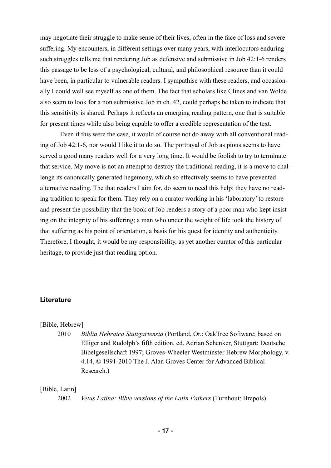may negotiate their struggle to make sense of their lives, often in the face of loss and severe suffering. My encounters, in different settings over many years, with interlocutors enduring such struggles tells me that rendering Job as defensive and submissive in Job 42:1-6 renders this passage to be less of a psychological, cultural, and philosophical resource than it could have been, in particular to vulnerable readers. I sympathise with these readers, and occasionally I could well see myself as one of them. The fact that scholars like Clines and van Wolde also seem to look for a non submissive Job in ch. 42, could perhaps be taken to indicate that this sensitivity is shared. Perhaps it reflects an emerging reading pattern, one that is suitable for present times while also being capable to offer a credible representation of the text.

Even if this were the case, it would of course not do away with all conventional reading of Job 42:1-6, nor would I like it to do so. The portrayal of Job as pious seems to have served a good many readers well for a very long time. It would be foolish to try to terminate that service. My move is not an attempt to destroy the traditional reading, it is a move to challenge its canonically generated hegemony, which so effectively seems to have prevented alternative reading. The that readers I aim for, do seem to need this help: they have no reading tradition to speak for them. They rely on a curator working in his 'laboratory' to restore and present the possibility that the book of Job renders a story of a poor man who kept insisting on the integrity of his suffering; a man who under the weight of life took the history of that suffering as his point of orientation, a basis for his quest for identity and authenticity. Therefore, I thought, it would be my responsibility, as yet another curator of this particular heritage, to provide just that reading option.

#### **Literature**

### [Bible, Hebrew]

2010 *Biblia Hebraica Stuttgartensia* (Portland, Or.: OakTree Software; based on Elliger and Rudolph's fifth edition, ed. Adrian Schenker, Stuttgart: Deutsche Bibelgesellschaft 1997; Groves-Wheeler Westminster Hebrew Morphology, v. 4.14, © 1991-2010 The J. Alan Groves Center for Advanced Biblical Research.)

## [Bible, Latin]

2002 *Vetus Latina: Bible versions of the Latin Fathers* (Turnhout: Brepols).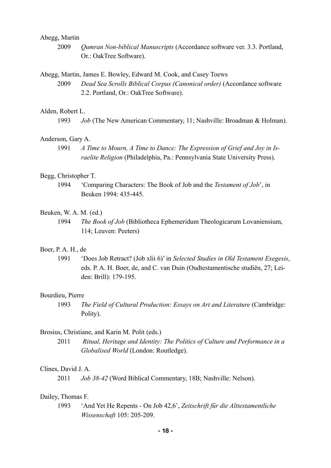## Abegg, Martin

2009 *Qumran Non-biblical Manuscripts* (Accordance software ver. 3.3. Portland, Or.: OakTree Software).

#### Abegg, Martin, James E. Bowley, Edward M. Cook, and Casey Toews

2009 *Dead Sea Scrolls Biblical Corpus (Canonical order)* (Accordance software 2.2. Portland, Or.: OakTree Software).

## Alden, Robert L.

1993 *Job* (The New American Commentary, 11; Nashville: Broadman & Holman).

### Anderson, Gary A.

1991 *A Time to Mourn, A Time to Dance: The Expression of Grief and Joy in Israelite Religion* (Philadelphia, Pa.: Pennsylvania State University Press).

### Begg, Christopher T.

1994 'Comparing Characters: The Book of Job and the *Testament of Job*', in Beuken 1994: 435-445.

#### Beuken, W. A. M. (ed.)

1994 *The Book of Job* (Bibliotheca Ephemeridum Theologicarum Lovaniensium, 114; Leuven: Peeters)

#### Boer, P. A. H., de

1991 'Does Job Retract? (Job xlii 6)' in *Selected Studies in Old Testament Exegesis*, eds. P. A. H. Boer, de, and C. van Duin (Oudtestamentische studiën, 27; Leiden: Brill): 179-195.

#### Bourdieu, Pierre

1993 *The Field of Cultural Production: Essays on Art and Literature* (Cambridge: Polity).

#### Brosius, Christiane, and Karin M. Polit (eds.)

2011 *Ritual, Heritage and Identity: The Politics of Culture and Performance in a Globalised World* (London: Routledge).

## Clines, David J. A.

2011 *Job 38-42* (Word Biblical Commentary, 18B; Nashville: Nelson).

#### Dailey, Thomas F.

1993 'And Yet He Repents - On Job 42,6', *Zeitschrift für die Alttestamentliche Wissenschaft* 105: 205-209.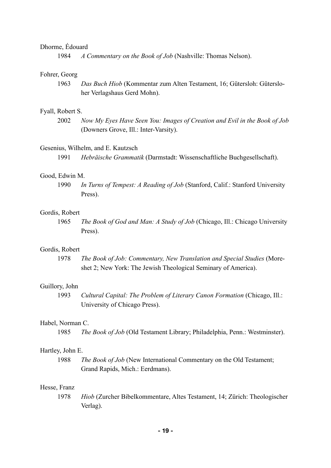## Dhorme, Édouard

1984 *A Commentary on the Book of Job* (Nashville: Thomas Nelson).

#### Fohrer, Georg

1963 *Das Buch Hiob* (Kommentar zum Alten Testament, 16; Gütersloh: Gütersloher Verlagshaus Gerd Mohn).

#### Fyall, Robert S.

2002 *Now My Eyes Have Seen You: Images of Creation and Evil in the Book of Job* (Downers Grove, Ill.: Inter-Varsity).

#### Gesenius, Wilhelm, and E. Kautzsch

1991 *Hebräische Grammatik* (Darmstadt: Wissenschaftliche Buchgesellschaft).

## Good, Edwin M.

1990 *In Turns of Tempest: A Reading of Job* (Stanford, Calif.: Stanford University Press).

#### Gordis, Robert

1965 *The Book of God and Man: A Study of Job* (Chicago, Ill.: Chicago University Press).

#### Gordis, Robert

1978 *The Book of Job: Commentary, New Translation and Special Studies* (Moreshet 2; New York: The Jewish Theological Seminary of America).

#### Guillory, John

1993 *Cultural Capital: The Problem of Literary Canon Formation* (Chicago, Ill.: University of Chicago Press).

#### Habel, Norman C.

1985 *The Book of Job* (Old Testament Library; Philadelphia, Penn.: Westminster).

### Hartley, John E.

1988 *The Book of Job* (New International Commentary on the Old Testament; Grand Rapids, Mich.: Eerdmans).

## Hesse, Franz

1978 *Hiob* (Zurcher Bibelkommentare, Altes Testament, 14; Zürich: Theologischer Verlag).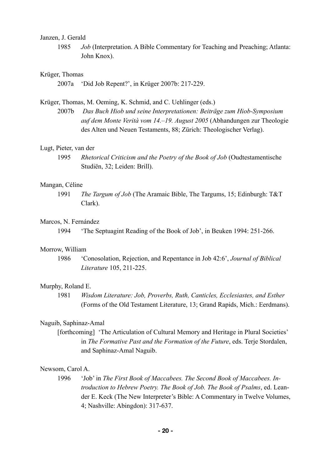### Janzen, J. Gerald

1985 *Job* (Interpretation. A Bible Commentary for Teaching and Preaching; Atlanta: John Knox).

#### Krüger, Thomas

2007a 'Did Job Repent?', in Krüger 2007b: 217-229.

## Krüger, Thomas, M. Oeming, K. Schmid, and C. Uehlinger (eds.)

2007b *Das Buch Hiob und seine Interpretationen: Beiträge zum Hiob-Symposium auf dem Monte Verità vom 14.–19. August 2005* (Abhandungen zur Theologie des Alten und Neuen Testaments, 88; Zürich: Theologischer Verlag).

#### Lugt, Pieter, van der

1995 *Rhetorical Criticism and the Poetry of the Book of Job* (Oudtestamentische Studiën, 32; Leiden: Brill).

#### Mangan, Céline

1991 *The Targum of Job* (The Aramaic Bible, The Targums, 15; Edinburgh: T&T Clark).

### Marcos, N. Fernández

1994 'The Septuagint Reading of the Book of Job', in Beuken 1994: 251-266.

## Morrow, William

1986 'Conosolation, Rejection, and Repentance in Job 42:6', *Journal of Biblical Literature* 105, 211-225.

#### Murphy, Roland E.

1981 *Wisdom Literature: Job, Proverbs, Ruth, Canticles, Ecclesiastes, and Esther* (Forms of the Old Testament Literature, 13; Grand Rapids, Mich.: Eerdmans).

## Naguib, Saphinaz-Amal

[forthcoming] 'The Articulation of Cultural Memory and Heritage in Plural Societies' in *The Formative Past and the Formation of the Future*, eds. Terje Stordalen, and Saphinaz-Amal Naguib.

#### Newsom, Carol A.

1996 'Job' in *The First Book of Maccabees. The Second Book of Maccabees. Introduction to Hebrew Poetry. The Book of Job. The Book of Psalms*, ed. Leander E. Keck (The New Interpreter's Bible: A Commentary in Twelve Volumes, 4; Nashville: Abingdon): 317-637.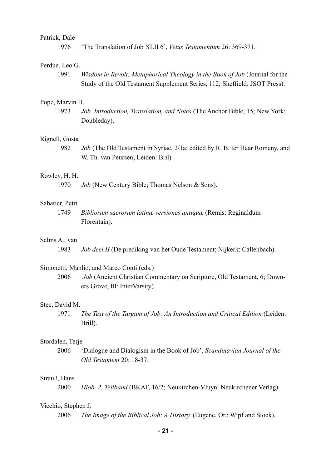#### Patrick, Dale

1976 'The Translation of Job XLII 6', *Vetus Testamentum* 26: 369-371.

### Perdue, Leo G.

1991 *Wisdom in Revolt: Metaphorical Theology in the Book of Job* (Journal for the Study of the Old Testament Supplement Series, 112; Sheffield: JSOT Press).

## Pope, Marvin H.

1973 *Job. Introduction, Translation, and Notes* (The Anchor Bible, 15; New York: Doubleday).

#### Rignell, Gösta

1982 *Job* (The Old Testament in Syriac, 2/1a; edited by R. B. ter Haar Romeny, and W. Th. van Peursen; Leiden: Bril).

## Rowley, H. H.

1970 *Job* (New Century Bible; Thomas Nelson & Sons).

### Sabatier, Petri

1749 *Bibliorum sacrorum latinæ versiones antiquæ* (Remis: Reginaldum Florentain).

## Selms A., van

1983 *Job deel II* (De prediking van het Oude Testament; Nijkerk: Callenbach).

## Simonetti, Manlio, and Marco Conti (eds.)

2006 *Job* (Ancient Christian Commentary on Scripture, Old Testament, 6; Downers Grove, Ill: InterVarsity).

#### Stec, David M.

1971 *The Text of the Targum of Job: An Introduction and Critical Edition* (Leiden: Brill).

#### Stordalen, Terje

2006 'Dialogue and Dialogism in the Book of Job', *Scandinavian Journal of the Old Testament* 20: 18-37.

#### Strauß, Hans

2000 *Hiob, 2. Teilband* (BKAT, 16/2; Neukirchen-Vluyn: Neukirchener Verlag).

#### Vicchio, Stephen J.

2006 *The Image of the Biblical Job: A History.* (Eugene, Or.: Wipf and Stock).

**- 21 -**